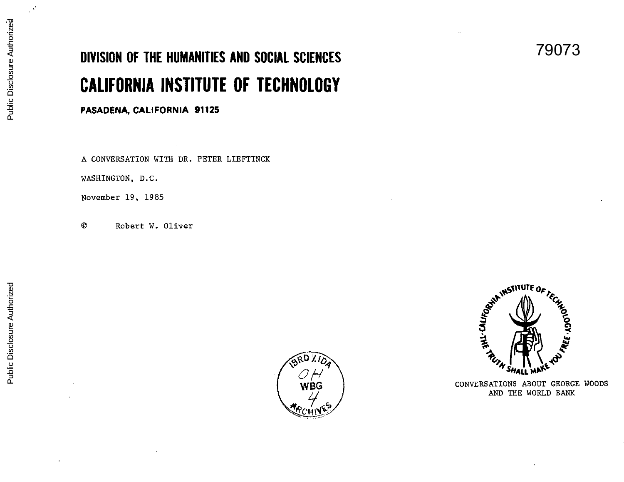## **DIVISION OF THE HUMANITIES AND SOCIAL SCIENCES CALIFORNIA INSTITUTE OF TECHNOLOGY**

**PASADENA, CALIFORNIA 91125** 

A CONVERSATION WITH DR. PETER LIEFTINCK

WASHINGTON, D.C.

November 19, 1985

© Robert W. Oliver





79073

CONVERSATIONS ABOUT GEORGE WOODS AND THE WORLD BANK

 $\mathcal{A}^{\mathcal{C}}$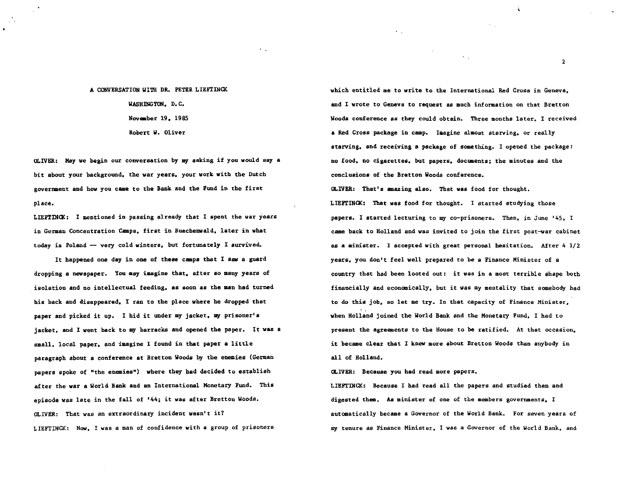## A CONVERSATION WITH DR. PETER LIEFTINCK WASHINGTON, D.C. November 19, 1985 Robert W. Oliver

 $\sim 10$ 

OLIVER: May we begin our conversation by my asking if you would say a bit about your background, the war years, your work with the Dutch government and how you came to the Bank and the Fund in the first place.

LIEFTINCK: I mentioned in passing already that I spent the war years in German Concentration Camps, first in Buechenwald, later in what today is Poland - very cold winters, but fortunately I survived.

It happened one day in one of these camps that I saw a guard dropping a newspaper. You may imagine that, after so many years of isolation and no intellectual feeding, as soon as the man bad turned his back and disappeared, I ran to the place where be dropped that paper and picked it up. I hid it under my jacket, my prisoner's jacket, and I went back to my barracks and opened the paper. It was a small, local paper, and imagine I found in that paper a little paragraph about a conference at Bretton Woods by the enemies (German papers spoke of "the enemies") where they had decided to establish after the war a World Bank and an International Monetary Fund. This episode was late in the fall of '44; it was after Bretton Woods. OLIVER: That was an extraordinary incident wasn•t it? LIEFTINCK: Now, I was a man of confidence with a group of prisoners

which entitled me to write to the International Red Cross in Geneva, and I wrote to Geneva to request as much information on that Bretton Woods conference as they could obtain. Three months later, I received a Red Cross package in camp. Iaagine almost starving, or really starving, and receiving a package of something. I opened the package: no food, no cigarettes, but papers, documents; the minutes and the conclusions of the Bretton Woods conference. OLIVER: That' a amazing also. That was food for thought. LIEFTINCK: That was food for thought. I started studying those papers. I started lecturing to my co-prisoners. Then. in June '45, I came back to Holland and was invited to join the first post-war cabinet as a minister. I accepted with great personal hesitation. After  $4 \frac{1}{2}$ years, you don•t feel well prepared to be a Finance Minister of a country that had been looted out: it was in a most terrible shape both financially and economically, but it was my mentality that somebody had to do this job, so let me try. In that capacity of Finance Minister, when Holland joined the World Bank and the Monetary Fund, I had to present the agreements to the House to be ratified. At that occasion,

it became clear that I knew more about Bretton Woods than anybody in all of Holland.

CLIVER: Because you had read more papers.

LIEFTINCK: Because I had read all the papers and studied them and digested them. As minister of one of the members governments, I automatically became a Governor of the World Bank. For seven years of my tenure as Finance Minister, I was a Governor of the World Bank, and

2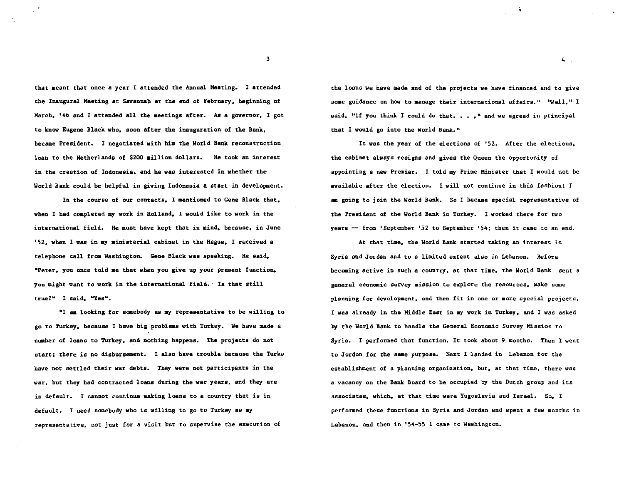that meant that once a year I attended the Annual Meeting. I attended the Inaugural Meeting at Savannah at the end of February • beginning of March. '46 and I attended all the meetings after. As a governor, I got to know Eugene Black who. soon after the inauguration of the Bank. became President. I negotiated with him the World Bank reconstruction loan to the Netherlands of \$200 million dollars. He took an interest in the creation of Indonesia. and he was interested in whether the World Bank could be helpful in giving Indonesia a start in development.

In the course of our contacts. I aentioned to Gene Black that. when I had completed my work in Holland, I would like to work in the international field. He must have kept that in mind, because, in June '52. when I was in my ministerial cabinet in the Hague. I received a telephone call from Washington. Gene Black was speaking. He said. "Peter, you once told me that when you give up your present function. you might want to work in the international field.· Is that still true1• I said. "Yes•.

•1 am looking for saaebody as my representative to be willing to go to Turkey. because I have big problems with Turkey. We have made a number of loans to Turkey. and nothing happens. The projects do not start; there is no disbursement. I also have trouble because the Turks have not settled their war debts. They were not participants in the war. but they had contracted loans during the war years. and they are in default. I cannot continue making loans to a country that is in default. I need somebody who is willing to go to Turkey as my representative. not just for a visit but to supervise the execution of

the loans we have made and of the projects we have financed and to give some guidance on how to manage their international affairs." "Well," I said, "if you think I could do that. . . ," and we agreed in principal that I would go into the World Bank."

It was the year of the elections of '52. After the elections. the cabinet always resigns and gives the Queen the opportunity of appointing a new Premier. I told my Prime Minister that I would not be available after the election. I will not continue in this fashion; I am going to join the World Bank. So I became special representative of the President of the World Bank in Turkey. I worked there for two years  $-$  from 'September '52 to September '54; then it came to an end.

At that time. the World Bank started taking an interest in Syria and Jordan and to a limited extent also in Lebanon. Before becoming active in such a country, at that time, the World Bank sent a general economic survey mission to explore the resources. make some planning for development, and then fit in one or more special projects. I was already in the Middle East in my work in Turkey, and I was asked by the World Bank to handle the General Economic Survey Mission to Syria. I performed that function. It took about 9 months. Then I went to Jordon for the same purpose. Next I landed in Lebanon for the establishment of a planning organization. but. at that time, there was a vacancy on the Bank Board to be occupied by the Dutch group and its associates. which, at that time were Yugoslavia and Israel. So. I performed these functions in Syria and Jordan and spent a few months in Lebanon. and then in '54-55 I came to Washington.

3

4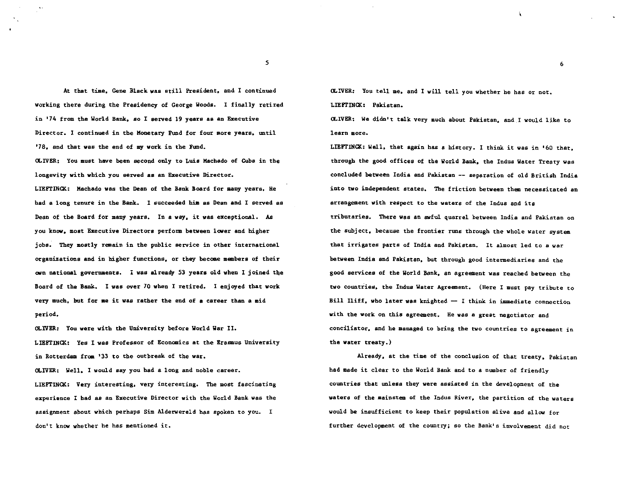At that time. Gene Black was still President. and I continued working there during the Presidency of George Woods. I finally retired in '74 from the World Bank, so I served 19 years as an Executive Director. I continued in the Monetary Fund for four more years. until '78. and that was the end of my work in the Fund.

OLIVER: You must have been second only to Luis Machado of Cuba in the longevity with which you served as an Executive Director. LIEFTINCK.: Machado was the Dean of the Bank Board for aany years. He had a long tenure in the Bank. I succeeded him as Dean and I served as Dean of the Board for many years. In a way. it was exceptional. *As*  you know, most Ezecutive Directors perform between lower and higher jobs. They mostly remain in the public service in other international organizations and in higher functions. or they becaae members of their own national governments. I was already 53 years old when I joined the Board of the Bank. I was over 70 when I retired. I enjoyed that work very much, but for ae it was rather the end of a career than a mid period.

OLIVER: You were with the University before World War II. LIEFTINCK: Yes I was Professor of Economics at the Erasmus University in Rotterdam from '33 to the outbreak of the war.

OLIVER: Well, I would say you had a long and noble career. LIEFTINCK: Very interesting, very interesting. The most fascinating experience I had as an Executive Director with the World Bank was the assignment about which perhaps Sim Alderwereld has spoken to you. I don't know whether he has mentioned it.

OLIVER: You tell me, and I will tell you whether he has or not. LIEFTINCK: Pakistan.

OLIVER: We didn't talk very much about Pakistan, and I would like to learn more.

6

LIEFTINCK: Well, that again has a history. I think it was in '60 that, througb the good offices of the World Bank, the Indus Water Treaty was concluded between India and Pakistan -- separation of old British India into two independent states. The friction between them necessitated an arrangement with respect to the waters of the Indus and its tributaries. There was an awful quarrel between India and Pakistan on the subject, because the frontier runs through the whole water system that irrigates parts of India and Pakistan. It almost led to a war between India and Pakistan, but through good intermediaries and the good services of the World Bank, an agreement was reached between the two countries, the Indus Water Agreement. (Here I must pay tribute to Bill Iliff, who later was knighted  $-$  I think in immediate connection with the work on this agreement. He was a great negotiator and conciliator, and be managed to bring the two countries to agreement in the water treaty.)

Already, at the time of the conclusion of that treaty, Pakistan bad made it clear to the World Bank and to a number of friendly countries that unless they were assisted in the development of the waters of the mainstem of the Indus River, the partition of the waters would be insufficient to keep their population alive and allow for further development of the country; so the Bank's involvement did not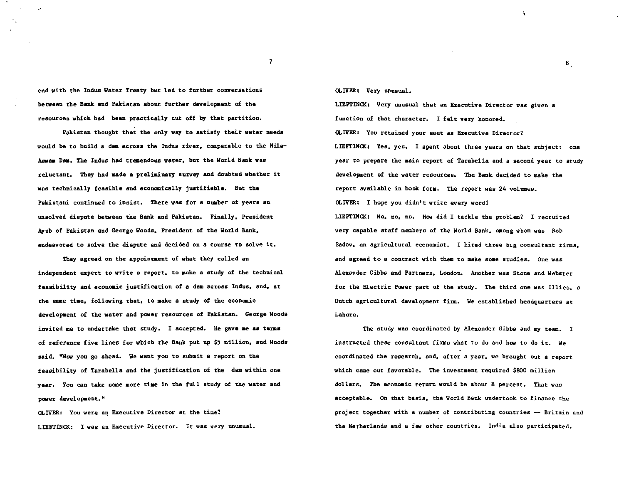end with the Indus Water Treaty but led to further conversations between the Bank and Pakistan about further developaent of the resources which had been practically cut off by that partition.

Pakistan thought that the only way to satisfy their water needs would be to build a dam across the Indus river, comparable to the Nile-Aswam Dam. The Indus had treaendous water. but the World Bank was reluctant. They had made a preliminary survey and doubted whether it was technically feasible and economically justifiable. But the Pakistani continued to insist. There was for a number of years an unsolved dispute between the Bank and Pakistan. Finally. President Ayub of Pakistan and George Woods. President of the World Bank. endeavored to solve the dispute and decided on a course to solve it.

They agreed on the appointment of what they called an independent expert to write a report. to aake a study of the technical feasibility and economic justification of 8 dam &¢rosa Indus. and. at the same time, following that, to make a study of the economic developaent of the water and power resources of Pakistan. George Woods invited me to undertake that study. I accepted. He gave me as terms of reference five lines for which the Bank put up \$5 million. and Woods said. ''Now you go ahead. We want you to submit a report on the feasibility of Tarabella and the justification of the dam within one year. You can take some more time in the full study of the water and power development."

OLIVER: You were an Executive Director at the time1 LIEFTINCK: I was an Executive Director. It was very unusual. CLIVER: Very unusual.

LIEFTINCK: Very unusual that an Executive Director was given a function of that character. I felt very honored. OLIVER: You retained your seat as Executive Director1 LIEFTINCK: Yes, yes. I spent about three years on that subject: one year to prepare the main report of Tarabella and a second year to study developaent of the water resources. The Bank decided to make the report available in book form. The report was 24 volumes.

CLIVER: I hope you didn't write every wordl

LIEFTINCK: No. no. no. How did I tackle the problem? I recruited very capable staff members of the World Bank. among whom was Bob Sadov, an agricultural economist. I hired three big consultant firms, and agreed to a contract with them to make some studies. One was Alexander Gibbs and Partners. London. Another was Stone and Webster for the Electric Power part of the study. The third one was Illico. a Dutch agricultural development firm. We established headquarters at Lahore.

The study was coordinated by Alexander Gibbs and my team. I instructed these consultant firms what to do and how to do it. We coordinated the research. and. after a year. we brought out a report which came out favorable. The investment required \$800 million dollars. The economic return would be about 8 percent. That was acceptable. On that basis. the World Bank undertook to finance the project together with a number of contributing countries -- Britain and the Netherlands and a few other countries. India also participated.

8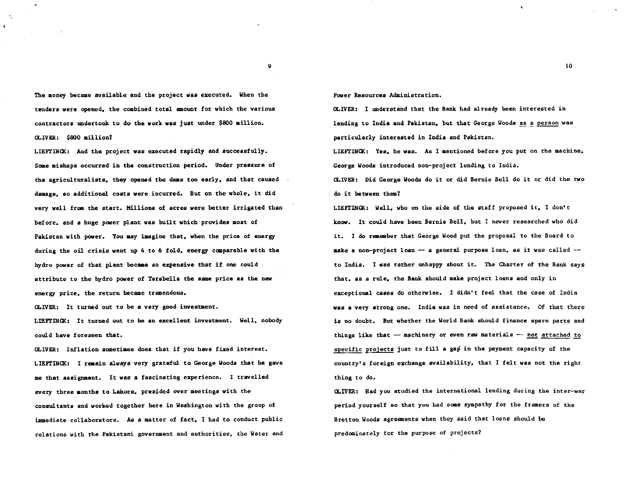The money became available and the project was ezecuted. When the tenders were opened. the combined total aaount for which the various contractors undertook to do the work was just under \$800 million. OLIVER: \$800 million1

LIEFTINCK: And the project was executed rapidly and successfully. Some mishaps occurred in the construction period. Under pressure of the agriculturalists. they opened the dams too early. and that caused damage. so additional coats were incurred. But on the whole. it did very well from the start. Millions of acres were better irrigated than before. and a huge power plant was built which provides most of Pakistan with power. You aay imagine that. when the price of energy during the oil crisis went up 4 to 6 fold. energy comparable with the hydro power of that plant became so expensive that if one could attribute to the hydro power of Tarabella the same price as the new energy price. the return became tremendous.

OLIVER: It turned out to be a very good investment.

LIEFTINCK: It turned out to be an excellent investment. Well, nobody could have foreseen that.

OLIVER: Inflation sometimes does that if you have fixed interest. LIEFTINCK: I remain always very grateful to George Woods that he gave me that assignment. It was a fascinating experience. I travelled every three months to Lahore, presided over meetings with the consultants and worked together here in Washington with the group of immediate collaborators. As a matter of fact, I had to conduct public relations with the Pakistani government and authorities. the Water and

Power Resources Administration.

OLIVER: I understand that the Bank had already been interested in lending to India and Pakistan, but that George Woods as a person was particularly interested in India and Pakistan.

LIEFTINCK: Yes. he was. As I mentioned before you put on the machine. George Woods introduced non-project lending to India.

a..IVER: Did George Woods do it or did Bernie Bell do it or did the two do it between them?

LIEFI'INCK: Well. who on the side of the staff proposed it. I don't know. It could have been Bernie Bell. but I never researched who did it. I do remember that George Wood put the proposal to the Board to make a non-project loan -- a general purpose loan, as it was called -to India. I was rather unhappy about it. The Charter of the Bank says that. as a rule, the Bank should make project loans and only in exceptional cases do otherwise. I didn't feel that the case of India was a very strong one. India was in need of assistance. Of that there is no doubt. But whether the World Bank should finance spare parts and things like that  $-$  machinery or even raw materials  $-$  not attached to specific proiects just to fill a gap in the payment capacity of the country's foreign exchange availability. that I felt was not the right thing to do.

a.,IVER: Had you studied the international lending during the inter-war period yourself so that you bad some sympathy for the framers of the Bretton Woods agreements when they said that loans should be predominately for the purpose of projects?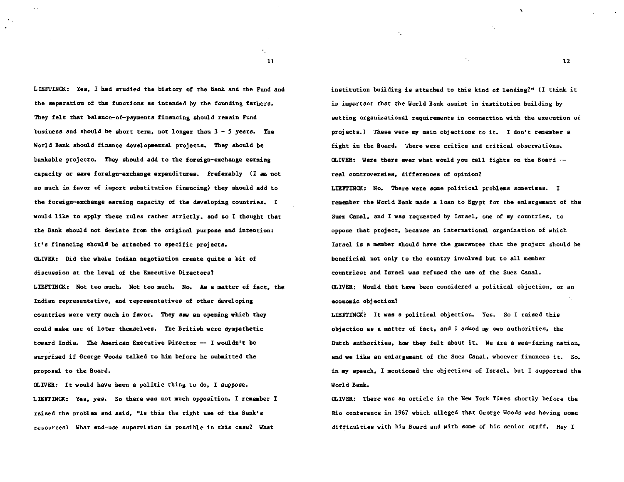LIEFTINCK: Yes. I had studied the history of the Bank and the Fund and the separation of the functions as intended by the founding fathers. They felt that balance-of-payaents financing should remain Fund business and should be short term. not longer than 3 - 5 years. The World Bank should finance developmental projects. They should be bankable projects. They should add to the foreign-exchange earning capacity or save foreign-exchange expenditures. Preferably (I am not so much in favor of import substitution financing) they should add to the foreign-exchange earning capacity of the developing countries. I would like to apply these rules rather strictly. and so I thought that the Bank should not deviate from the original purpose and intention: it's financing should be attached to specific projects. OLIVER: Did the whole Indian negotiation create quite a bit of discussion at the level of the Executive Directors? LIEPTINCK: Not too much. Not too much. No. *As* a matter of fact. the Indian representative. and representatives of other developing countries were very much in favor. They saw an opening which they could make use of later themselves. The British were sympathetic toward India. The American Executive Director  $-$  I wouldn't be surprised if George Woods talked to him before he submitted the proposal to the Board.

OLIVER: It would have been a politic thing to do, I suppose. LIEFriNCK: Yes, yes. So there was not much opposition. I remember I raised the problem and said. "Is this the right use of the Bank's resources? What end-use supervision is possible in this case? What

institution building is attached to this kind of lending7'' (I think it is important that the World Bank assist in institution building by setting organizational requirements in connection with the execution of projects.) These were my main objections to it. I don't remember a fight in the Board. There were critics and critical observations.  $OLIVER:$  Were there ever what would you call fights on the Board  $$ real controversies, differences of opinion? LIEFTINCK: No. There were some political problems sometimes. I remember the World Bank made a loan to Egypt for the enlargement of the Suez Canal. and I was requested by Israel. one of my countries, to oppose that project, because an international organization of which Israel is a member should have the guarantee that the project should be beneficial not only to the country imrolved but to all member countries; and Israel was refused the use of the Suez Canal. OLIVER: Would that have been considered a political objection, or an econaaic objection?

 $\mathcal{F}_{\mathcal{A}}$  .

 $\Delta_{\rm{eff}}$ 

LIEPTINCK: It was a political objection. Yes. So I raised this objection as a matter of fact, and I asked my own authorities, the Dutch authorities, how they felt about it. We are a sea-faring nation. and we like an enlargement of the Suez Canal. whoever finances it. So, in my speech, I mentioned the objections of Israel, but I supported the World Bank.

OLIVER: There was an article in the New York Times shortly before the Rio conference in 1967 which alleged that George Woods was having some difficulties with his Board and with some of his senior staff. May I

 $\mathbf{r}_{\perp}$  . 11

12

í.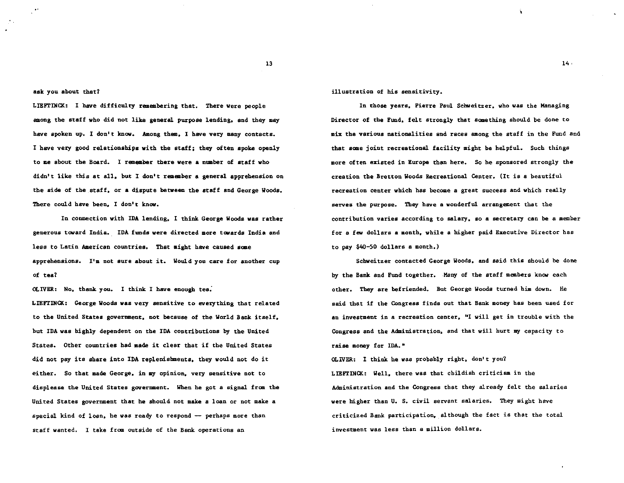ask you about that?

LIEFTINCK: I have difficulty remembering that. There were people among the staff who did not like general purpose lending. and they may have spoken up. I don't know. Among them, I have very many contacts. I have very good relationships with the staff: they often spoke openly to ae about the Board. I remember there were a nuaber of staff who didn't like this at all. but I don't remember a general apprehension on the side of the staff, or a dispute between the staff and George Woods. There could have been, I don't know.

In connection with IDA lending, I think George Woods was rather generous toward India. IDA funds were directed more towards India and less to Latin American countries. That might have caused some apprehensions. I'm not sure about it. Would you care for another cup of tea?

OLIVER: No, thank you. I think I have enough tea:

LIEFTINCK: George Woods was very sensitive to everything that related to the United States government, not because of the World Bank itself, but IDA was highly dependent on the IDA contributions by the United States. Other countries bad made it clear that if the United States did not pay its share into IDA replenishments, they would not do it either. So that made George, in my opinion, very sensitive not to displease the United States government. When he got a signal from the United States government that he should not make a loan or not make a special kind of loan, he was ready to respond -- perhaps more than staff wanted. I take from outside of the Bank operations an

illustration of his sensitivity.

In those years, Pierre Paul Schweitzer. who was the Managing Director of the Fund. felt strongly that something should be done to mix the various nationalities and races among the staff in the Fund and that some joint recreational facility might be helpful. Such things more often existed in Europe than here. So he sponsored strongly the creation the Bretton Woods Recreational Center. (It is a beautiful recreation center which bas become a great success and which really serves the purpose. They have a wonderful arrangement that the contribution varies according to salary, so a secretary can be a member for a few dollars a month. while a higher paid Executive Director has to pay \$40-50 dollars a month.)

Schweitzer contacted George Woods, and said this should be done by the Bank and Fund together. Many of the staff members know each other. They are befriended. But George Woods turned him down. He said that if the Congress finds out that Bank money has been used for an investment in a recreation center, "I will get in trouble with the Congress and the Administration. and that will hurt my capacity to raise money for IDA."

OLIVER: I think he was probably right, don't you? LIEFTINCK.: Well, there was that childish criticism in the Administration and the Congress that they already felt the salaries were higher than U. s. civil servant salaries. They might have criticized Bank participation, although the fact is that the total investment was less than a million dollars.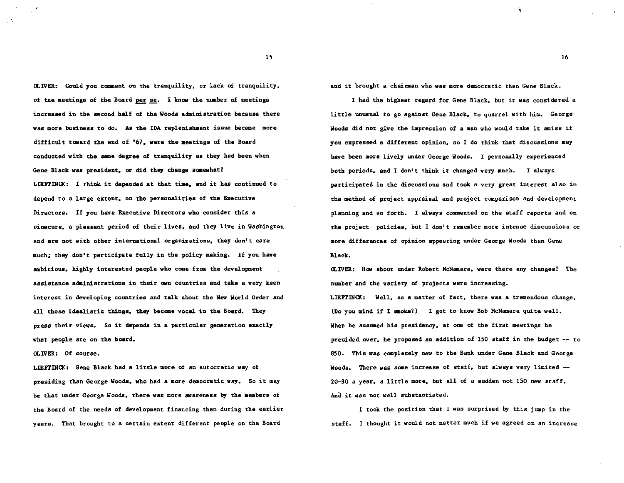OLIVER: Could you comment on the tranquility, or lack of tranquility, of the meetings of the Board per se. I know the number of meetings increased in the second half of the Woods administration because there was more business to do. As the IDA replenishment issue became more difficult toward the end of '67. were the meetings of the Board conducted with the same degree of tranquility as they had been when Gene Black was president, or did they change somewhat? LIEFTINCK: I think it depended at that time, and it has continued to depend to a large extent. on the personalities of the Ezecutive Directors. If you have Executive Directors who consider this a sinecure. a pleasant period of their lives. and they live in Washington and are not with other international organizations. they don't care much; they don't participate fully in the policy making. If you have ambitious. highly interested people who coae from the development assistance administrations in their own countries and take a very keen interest in developing countries and talk about the New World Order and all those idealistic things. they became vocal in the Board. They press their views. So it depends in a particular generation exactly what people are on the board.

OLIVER: Of course.

LIEFTINCX: Gene Black had a little more of an autocratic way of presiding than George Woods. who had a more democratic way. So it may be that under George Woods. there was more awareness by the members of the Board of the needs of development financing than during the earlier years. That brought to a certain extent different people on the Board

and it brought a chainaan who was more democratic than Gene Black.

I had the highest regard for Gene Black. but it was considered a little unusual to go against Gene Black. to quarrel with him. George Woods did not give the impression of a man who would take it amiss if you expressed a different opinion. so I do think that discussions may have been more lively under George Woods. I personally ezperienced both periods. and I don't think it changed very much. I always participated in the discussions and took a very great interest also in the method of project appraisal and project comparison and development planning and so forth. I always commented on the staff reports and on the project policies. but I don't remember more intense discussions or more differences of opinion appearing under George Woods than Gene Black.

OLIVER: Ho.r about under Robert McNanara. were there any changesl The number and the variety of projects were increasing. LIEFTINCK: Well. as a matter of fact, there was a tremendous change. (Do you mind if I smoke1) I got to know Bob McNamara quite well. When he assumed his presidency, at one of the first meetings he presided over. he proposed an addition of 150 staff in the budget -- to 850. This was completely new to the Bank under Gene Black and George Woods. There was some increase of staff, but always very limited --20-30 a year. a little more. but all of a sudden not 150 new staff. And it was not well substantiated.

I took the position that I was surprised by this jump in the staff. I thought it would not matter much if we agreed on an increase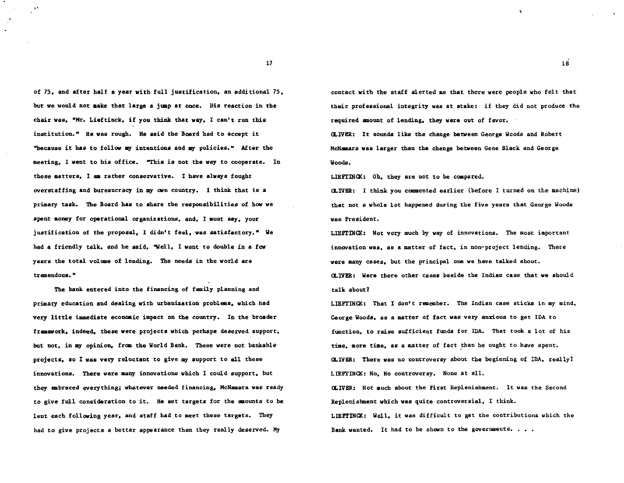of 75, and after half a year with full justification, an additional 75, but we would not make that large a jump at once. His reaction in the chair was, "Mr. Lieftinck, if you think that way, I can't run this institution.• He was rough. He said the Board bad to accept it "because it has to follow my intentions and my policies." After the meeting, I went to his office. "This is not the way to cooperate. In these aattera, I aa rather conservative. I have always fought overstaffing and bureaucracy in my own country. I think that is a primary. task. The Board bas to share the responsibilities of haw we spent money for operational organizations, and, I must say, your justification of the proposal, I didn't feel, was satisfactory." We had a friendly talk, and he said, "Well, I want to double in a few years the total volume of lending. The needs in the world are tremendous."

The bank entered into the financing of family planning and primary education and dealing with urbanization problems. which had very little immediate economic impact on the country. In the broader framework. indeed. these were projects which perhaps deserved support. but not, in my opinion, from the World Bank. These were not bankable projects. so I was very reluctant to give my support to all these innovations. There were aany innovations which I could support. but they embraced everything; whatever needed financing. McNamara was ready to give full consideration to it. He set targets for the amounts to be lent each following year. and staff had to meet these targets. They had to give projects a better appearance than they really deserved. Hy

contact with the staff alerted me that there were people who felt that their professional integrity was st stake: if they did not produce the required anount of lending. they were out of favor.

(LIVER: It sounds like the change between George Woods and Robert McNaaara was larger than the change between Gene Black and George Woods.

LIEFTINCK: Oh, they are not to be compared.

OLIVER: I think you commented earlier {before I turned on the machine) that not a whole lot happened during the five years that George Woods was President.

LIEFTINCK: Not very much by way of innovations. The most important innovation was. as a matter of fact. in non-project lending. There were many cases. but the principal one we have talked about. OLIVER: Were there other cases beside the Indian case that we should talk about?

LIEFTINQ{: That I don't remember. The Indian case sticks in my mind. George Woods, as a matter of fact was very anxious to get IDA to function, to raise sufficient funds for IDA. That took a lot of his time, more time, as a matter of fact than he ought to have spent. OLIVER: There was no controversy about the beginning of IDA, really1 LIEFTINCK: No. No controversy. None at all. OLIVER: Not much about the First Replenishment. It was the Second Replenishment which was quite controversial, I think. LIEFTINCK: Well, it was difficult to get the contributions which the

Bank wanted. It had to be shown to the governments.  $\ldots$ .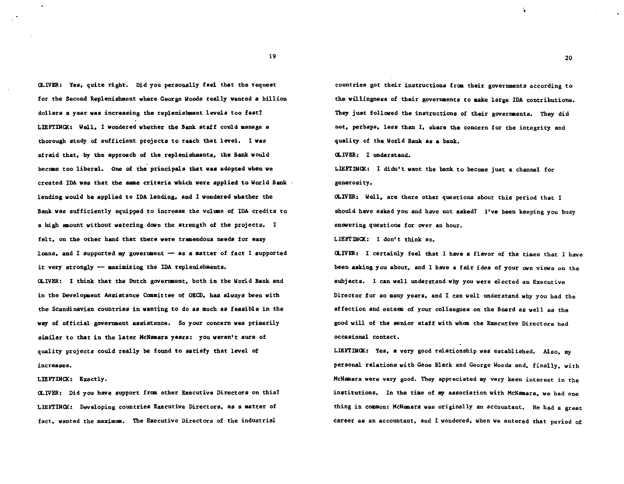CLIVER: Yes. quite right. Did you personally feel that the request for the Second Replenishment where George Woods really wanted a billion dollars a year was increasing the replenishment levels too fast? LIEFTINCK: Well. I wondered whether the Bank staff could manage a thorough study of sufficient projects to reach that level. I was afraid that. by the approach of the replenishments. the Bank would become too liberal. One of the principals that was adopted when we created IDA was that the saae criteria which were applied to World Bank lending would be applied to IDA lending. and I wondered whether the Bank was sufficiently equipped to increase the volume of IDA credits to a high amount without watering down the strength of the projects. I felt. on the other hand that there were tremendous needs for easy loans, and I supported my government - as a matter of fact I supported it very strongly  $-$  maximizing the IDA replenishments.

CLIVER: I think that the Dutch government, both in the World Bank and in the Developaent Assistance Caamittee of OECD. has always been with the Scandinavian countries in wanting to do as much as feasible in the way of official government assistance. So your concern was primarily similar to that in the later McNamara years: you weren't sure of quality projects could really be found to satisfy that level of increases.

LIEFTINCK: Exactly.

OLIVER: Did you have support from other Executive Directors on this? LIEFTINCK: Developing countries Executive Directors, as a matter of fact, wanted the maximum. The Executive Directors of the industrial

countries got their instructions from their governments according to the willingness of their governments to make large IDA contributions. They just followed the instructions of their governments. They did not. perhaps. less than I. share the concern for the integrity and quality of the World Bank as a bank.

<LIVER: I understand.

LIEFTINCK: I didn't want the bank to become just a channel for generosity.

OLIVER: Well, are there other questions about this period that I should have asked you and have not asked? I've been keeping you busy answering questions for over an hour.

LIEFl'INCK: I don't think so.

CLIVER: I certainly feel that I have a flavor of the times that I have been asking you about. and I have a fair idea of your own views on the subjects. I can well understand why you were elected an Executive Director for so many years. and I can well understand why you had the affection and esteem of your colleagues on the Board as well as the good will of the senior staff with whom the Executive Directors had occasional contact.

LIEFTINCK: Yes, a very good relationship was established. Also, my personal relations with Gene Black and George Woods and. finally. with McNamara were very good. They appreciated my very keen interest in the institutions. In the time of my association with McNamara, we had one thing in common: McNamara was originally an accountant. He had a great career as an accountant. and I wondered, when we entered that period of